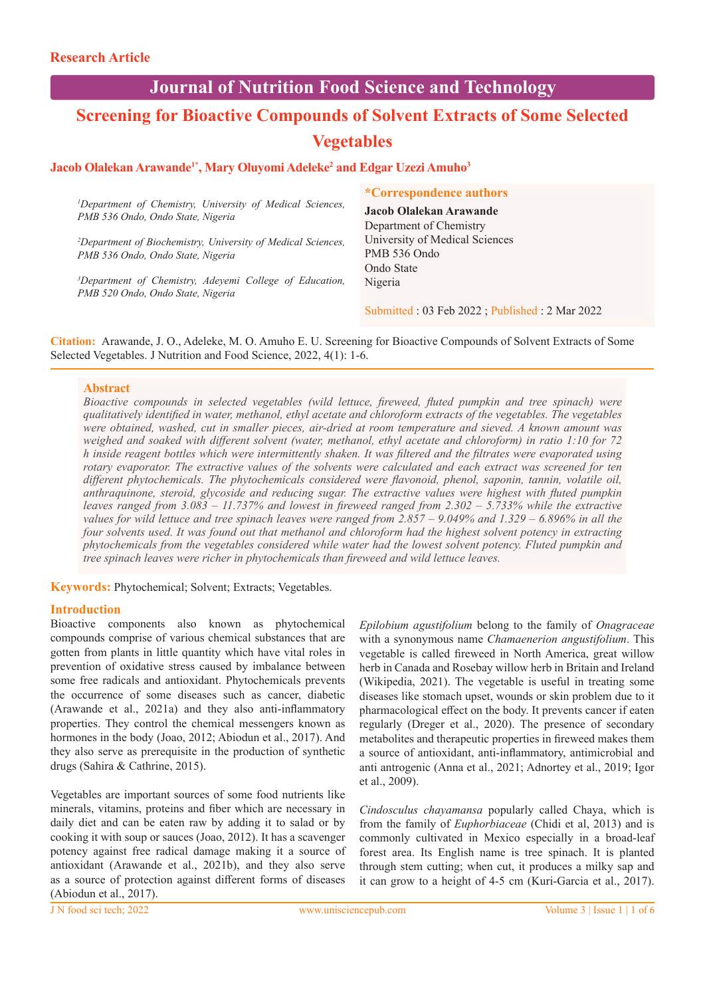# **Journal of Nutrition Food Science and Technology**

# **Screening for Bioactive Compounds of Solvent Extracts of Some Selected Vegetables**

# Jacob Olalekan Arawande<sup>1\*</sup>, Mary Oluyomi Adeleke<sup>2</sup> and Edgar Uzezi Amuho<sup>3</sup>

*1 Department of Chemistry, University of Medical Sciences, PMB 536 Ondo, Ondo State, Nigeria*

*2 Department of Biochemistry, University of Medical Sciences, PMB 536 Ondo, Ondo State, Nigeria*

*3 Department of Chemistry, Adeyemi College of Education, PMB 520 Ondo, Ondo State, Nigeria*

## **\*Correspondence authors**

**Jacob Olalekan Arawande** Department of Chemistry University of Medical Sciences PMB 536 Ondo Ondo State Nigeria

Submitted : 03 Feb 2022 ; Published : 2 Mar 2022

**Citation:** Arawande, J. O., Adeleke, M. O. Amuho E. U. Screening for Bioactive Compounds of Solvent Extracts of Some Selected Vegetables. J Nutrition and Food Science, 2022, 4(1): 1-6.

# **Abstract**

*Bioactive compounds in selected vegetables (wild lettuce, fireweed, fluted pumpkin and tree spinach) were qualitatively identified in water, methanol, ethyl acetate and chloroform extracts of the vegetables. The vegetables were obtained, washed, cut in smaller pieces, air-dried at room temperature and sieved. A known amount was weighed and soaked with different solvent (water, methanol, ethyl acetate and chloroform) in ratio 1:10 for 72 h inside reagent bottles which were intermittently shaken. It was filtered and the filtrates were evaporated using rotary evaporator. The extractive values of the solvents were calculated and each extract was screened for ten different phytochemicals. The phytochemicals considered were flavonoid, phenol, saponin, tannin, volatile oil, anthraquinone, steroid, glycoside and reducing sugar. The extractive values were highest with fluted pumpkin leaves ranged from 3.083 – 11.737% and lowest in fireweed ranged from 2.302 – 5.733% while the extractive values for wild lettuce and tree spinach leaves were ranged from 2.857 – 9.049% and 1.329 – 6.896% in all the four solvents used. It was found out that methanol and chloroform had the highest solvent potency in extracting phytochemicals from the vegetables considered while water had the lowest solvent potency. Fluted pumpkin and tree spinach leaves were richer in phytochemicals than fireweed and wild lettuce leaves.* 

**Keywords:** Phytochemical; Solvent; Extracts; Vegetables.

## **Introduction**

Bioactive components also known as phytochemical compounds comprise of various chemical substances that are gotten from plants in little quantity which have vital roles in prevention of oxidative stress caused by imbalance between some free radicals and antioxidant. Phytochemicals prevents the occurrence of some diseases such as cancer, diabetic (Arawande et al., 2021a) and they also anti-inflammatory properties. They control the chemical messengers known as hormones in the body (Joao, 2012; Abiodun et al., 2017). And they also serve as prerequisite in the production of synthetic drugs (Sahira & Cathrine, 2015).

Vegetables are important sources of some food nutrients like minerals, vitamins, proteins and fiber which are necessary in daily diet and can be eaten raw by adding it to salad or by cooking it with soup or sauces (Joao, 2012). It has a scavenger potency against free radical damage making it a source of antioxidant (Arawande et al., 2021b), and they also serve as a source of protection against different forms of diseases (Abiodun et al., 2017).

*Epilobium agustifolium* belong to the family of *Onagraceae* with a synonymous name *Chamaenerion angustifolium*. This vegetable is called fireweed in North America, great willow herb in Canada and Rosebay willow herb in Britain and Ireland (Wikipedia, 2021). The vegetable is useful in treating some diseases like stomach upset, wounds or skin problem due to it pharmacological effect on the body. It prevents cancer if eaten regularly (Dreger et al., 2020). The presence of secondary metabolites and therapeutic properties in fireweed makes them a source of antioxidant, anti-inflammatory, antimicrobial and anti antrogenic (Anna et al., 2021; Adnortey et al., 2019; Igor et al., 2009).

*Cindosculus chayamansa* popularly called Chaya, which is from the family of *Euphorbiaceae* (Chidi et al, 2013) and is commonly cultivated in Mexico especially in a broad-leaf forest area. Its English name is tree spinach. It is planted through stem cutting; when cut, it produces a milky sap and it can grow to a height of 4-5 cm (Kuri-Garcia et al., 2017).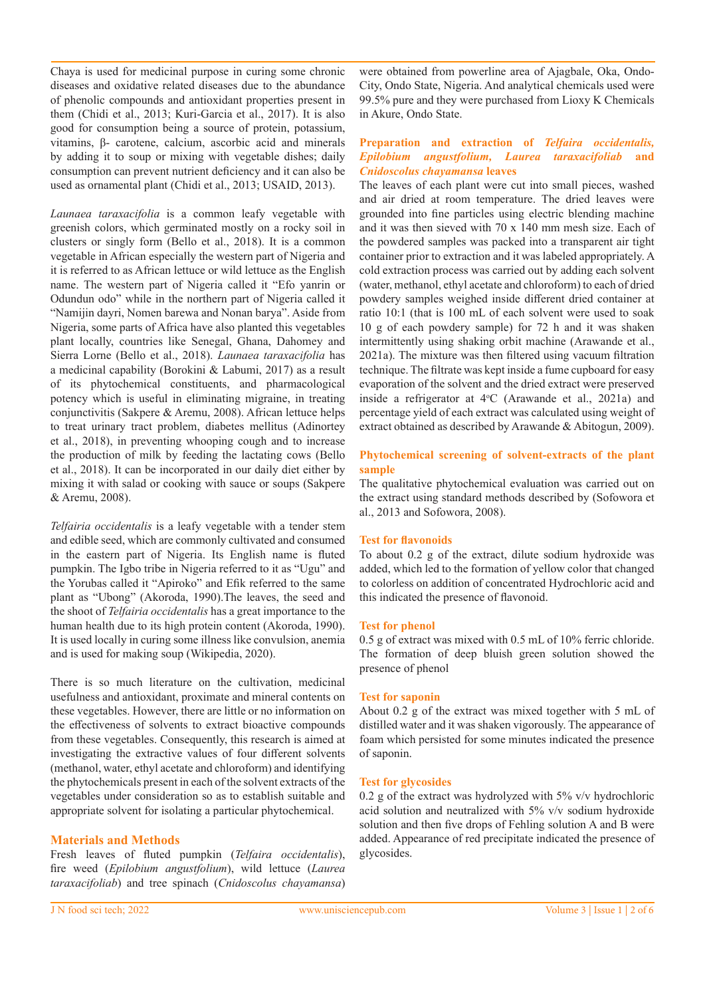Chaya is used for medicinal purpose in curing some chronic diseases and oxidative related diseases due to the abundance of phenolic compounds and antioxidant properties present in them (Chidi et al., 2013; Kuri-Garcia et al., 2017). It is also good for consumption being a source of protein, potassium, vitamins, β- carotene, calcium, ascorbic acid and minerals by adding it to soup or mixing with vegetable dishes; daily consumption can prevent nutrient deficiency and it can also be used as ornamental plant (Chidi et al., 2013; USAID, 2013).

*Launaea taraxacifolia* is a common leafy vegetable with greenish colors, which germinated mostly on a rocky soil in clusters or singly form (Bello et al., 2018). It is a common vegetable in African especially the western part of Nigeria and it is referred to as African lettuce or wild lettuce as the English name. The western part of Nigeria called it "Efo yanrin or Odundun odo" while in the northern part of Nigeria called it "Namijin dayri, Nomen barewa and Nonan barya". Aside from Nigeria, some parts of Africa have also planted this vegetables plant locally, countries like Senegal, Ghana, Dahomey and Sierra Lorne (Bello et al., 2018). *Launaea taraxacifolia* has a medicinal capability (Borokini & Labumi, 2017) as a result of its phytochemical constituents, and pharmacological potency which is useful in eliminating migraine, in treating conjunctivitis (Sakpere & Aremu, 2008). African lettuce helps to treat urinary tract problem, diabetes mellitus (Adinortey et al., 2018), in preventing whooping cough and to increase the production of milk by feeding the lactating cows (Bello et al., 2018). It can be incorporated in our daily diet either by mixing it with salad or cooking with sauce or soups (Sakpere & Aremu, 2008).

*Telfairia occidentalis* is a leafy vegetable with a tender stem and edible seed, which are commonly cultivated and consumed in the eastern part of Nigeria. Its English name is fluted pumpkin. The Igbo tribe in Nigeria referred to it as "Ugu" and the Yorubas called it "Apiroko" and Efik referred to the same plant as "Ubong" (Akoroda, 1990).The leaves, the seed and the shoot of *Telfairia occidentalis* has a great importance to the human health due to its high protein content (Akoroda, 1990). It is used locally in curing some illness like convulsion, anemia and is used for making soup (Wikipedia, 2020).

There is so much literature on the cultivation, medicinal usefulness and antioxidant, proximate and mineral contents on these vegetables. However, there are little or no information on the effectiveness of solvents to extract bioactive compounds from these vegetables. Consequently, this research is aimed at investigating the extractive values of four different solvents (methanol, water, ethyl acetate and chloroform) and identifying the phytochemicals present in each of the solvent extracts of the vegetables under consideration so as to establish suitable and appropriate solvent for isolating a particular phytochemical.

# **Materials and Methods**

Fresh leaves of fluted pumpkin (*Telfaira occidentalis*), fire weed (*Epilobium angustfolium*), wild lettuce (*Laurea taraxacifoliab*) and tree spinach (*Cnidoscolus chayamansa*) were obtained from powerline area of Ajagbale, Oka, Ondo-City, Ondo State, Nigeria. And analytical chemicals used were 99.5% pure and they were purchased from Lioxy K Chemicals in Akure, Ondo State.

## **Preparation and extraction of** *Telfaira occidentalis, Epilobium angustfolium, Laurea taraxacifoliab* **and**  *Cnidoscolus chayamansa* **leaves**

The leaves of each plant were cut into small pieces, washed and air dried at room temperature. The dried leaves were grounded into fine particles using electric blending machine and it was then sieved with 70 x 140 mm mesh size. Each of the powdered samples was packed into a transparent air tight container prior to extraction and it was labeled appropriately. A cold extraction process was carried out by adding each solvent (water, methanol, ethyl acetate and chloroform) to each of dried powdery samples weighed inside different dried container at ratio 10:1 (that is 100 mL of each solvent were used to soak 10 g of each powdery sample) for 72 h and it was shaken intermittently using shaking orbit machine (Arawande et al., 2021a). The mixture was then filtered using vacuum filtration technique. The filtrate was kept inside a fume cupboard for easy evaporation of the solvent and the dried extract were preserved inside a refrigerator at  $4^{\circ}$ C (Arawande et al., 2021a) and percentage yield of each extract was calculated using weight of extract obtained as described by Arawande & Abitogun, 2009).

## **Phytochemical screening of solvent-extracts of the plant sample**

The qualitative phytochemical evaluation was carried out on the extract using standard methods described by (Sofowora et al., 2013 and Sofowora, 2008).

## **Test for flavonoids**

To about 0.2 g of the extract, dilute sodium hydroxide was added, which led to the formation of yellow color that changed to colorless on addition of concentrated Hydrochloric acid and this indicated the presence of flavonoid.

#### **Test for phenol**

0.5 g of extract was mixed with 0.5 mL of 10% ferric chloride. The formation of deep bluish green solution showed the presence of phenol

## **Test for saponin**

About 0.2 g of the extract was mixed together with 5 mL of distilled water and it was shaken vigorously. The appearance of foam which persisted for some minutes indicated the presence of saponin.

#### **Test for glycosides**

0.2 g of the extract was hydrolyzed with 5% v/v hydrochloric acid solution and neutralized with 5% v/v sodium hydroxide solution and then five drops of Fehling solution A and B were added. Appearance of red precipitate indicated the presence of glycosides.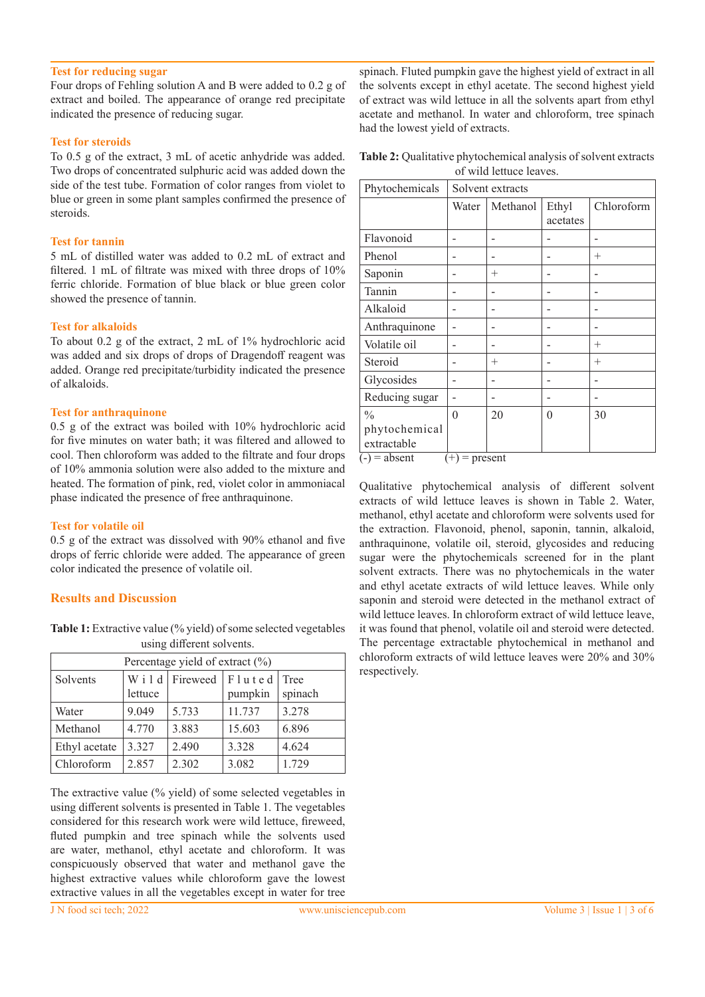## **Test for reducing sugar**

Four drops of Fehling solution A and B were added to 0.2 g of extract and boiled. The appearance of orange red precipitate indicated the presence of reducing sugar.

#### **Test for steroids**

To 0.5 g of the extract, 3 mL of acetic anhydride was added. Two drops of concentrated sulphuric acid was added down the side of the test tube. Formation of color ranges from violet to blue or green in some plant samples confirmed the presence of steroids.

#### **Test for tannin**

5 mL of distilled water was added to 0.2 mL of extract and filtered. 1 mL of filtrate was mixed with three drops of 10% ferric chloride. Formation of blue black or blue green color showed the presence of tannin.

#### **Test for alkaloids**

To about 0.2 g of the extract, 2 mL of 1% hydrochloric acid was added and six drops of drops of Dragendoff reagent was added. Orange red precipitate/turbidity indicated the presence of alkaloids.

#### **Test for anthraquinone**

0.5 g of the extract was boiled with 10% hydrochloric acid for five minutes on water bath; it was filtered and allowed to cool. Then chloroform was added to the filtrate and four drops of 10% ammonia solution were also added to the mixture and heated. The formation of pink, red, violet color in ammoniacal phase indicated the presence of free anthraquinone.

#### **Test for volatile oil**

0.5 g of the extract was dissolved with 90% ethanol and five drops of ferric chloride were added. The appearance of green color indicated the presence of volatile oil.

## **Results and Discussion**

Table 1: Extractive value (% yield) of some selected vegetables using different solvents.

| Percentage yield of extract (%) |         |          |         |         |  |
|---------------------------------|---------|----------|---------|---------|--|
| Solvents                        | Wild    | Fireweed | Fluted  | Tree    |  |
|                                 | lettuce |          | pumpkin | spinach |  |
| Water                           | 9.049   | 5.733    | 11.737  | 3.278   |  |
| Methanol                        | 4.770   | 3.883    | 15.603  | 6.896   |  |
| Ethyl acetate                   | 3.327   | 2.490    | 3.328   | 4.624   |  |
| Chloroform                      | 2.857   | 2.302    | 3.082   | 1.729   |  |

The extractive value (% yield) of some selected vegetables in using different solvents is presented in Table 1. The vegetables considered for this research work were wild lettuce, fireweed, fluted pumpkin and tree spinach while the solvents used are water, methanol, ethyl acetate and chloroform. It was conspicuously observed that water and methanol gave the highest extractive values while chloroform gave the lowest extractive values in all the vegetables except in water for tree

**Table 2:** Qualitative phytochemical analysis of solvent extracts of wild lettuce leaves.

| Phytochemicals                    | Solvent extracts |          |                   |            |
|-----------------------------------|------------------|----------|-------------------|------------|
|                                   | Water            | Methanol | Ethyl<br>acetates | Chloroform |
| Flavonoid                         |                  |          |                   |            |
| Phenol                            |                  |          |                   | $^{+}$     |
| Saponin                           |                  | $^{+}$   |                   |            |
| Tannin                            |                  |          |                   |            |
| Alkaloid                          |                  |          |                   |            |
| Anthraquinone                     |                  |          |                   |            |
| Volatile oil                      |                  |          |                   | $^{+}$     |
| Steroid                           |                  | $^{+}$   |                   | $^{+}$     |
| Glycosides                        |                  |          |                   |            |
| Reducing sugar                    |                  |          |                   |            |
| $\frac{0}{0}$                     | $\overline{0}$   | 20       | $\theta$          | 30         |
| phytochemical<br>extractable      |                  |          |                   |            |
| $(-)$ = absent<br>$(+)$ = present |                  |          |                   |            |

Qualitative phytochemical analysis of different solvent extracts of wild lettuce leaves is shown in Table 2. Water, methanol, ethyl acetate and chloroform were solvents used for the extraction. Flavonoid, phenol, saponin, tannin, alkaloid, anthraquinone, volatile oil, steroid, glycosides and reducing sugar were the phytochemicals screened for in the plant solvent extracts. There was no phytochemicals in the water and ethyl acetate extracts of wild lettuce leaves. While only saponin and steroid were detected in the methanol extract of wild lettuce leaves. In chloroform extract of wild lettuce leave, it was found that phenol, volatile oil and steroid were detected. The percentage extractable phytochemical in methanol and chloroform extracts of wild lettuce leaves were 20% and 30% respectively.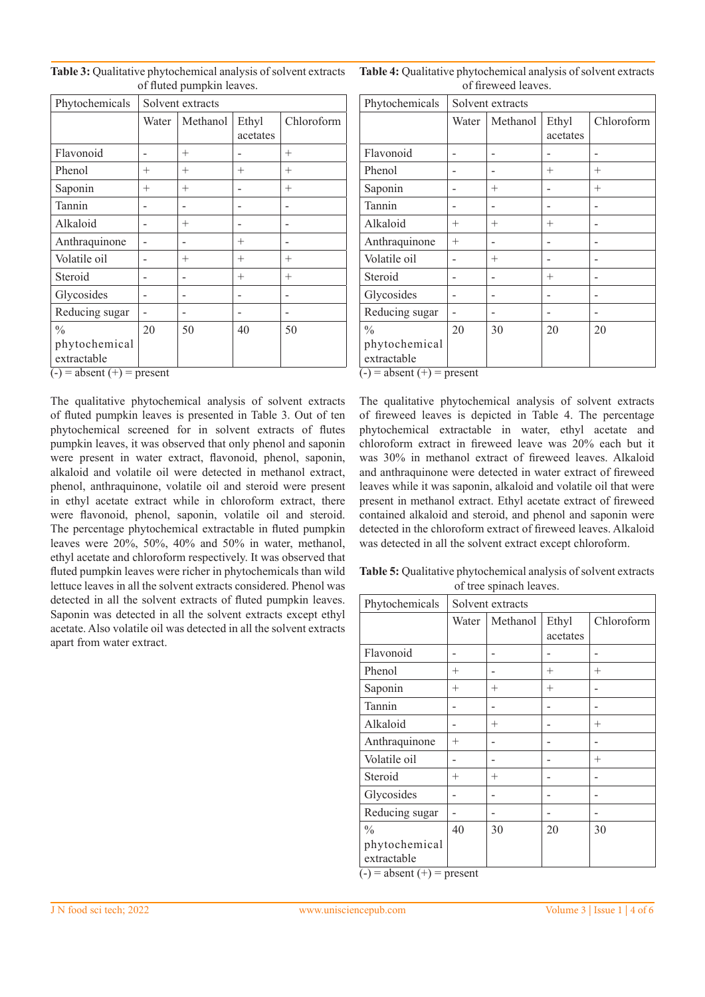| Phytochemicals                                | Solvent extracts |          |                   |            |
|-----------------------------------------------|------------------|----------|-------------------|------------|
|                                               | Water            | Methanol | Ethyl<br>acetates | Chloroform |
| Flavonoid                                     |                  | $^{+}$   |                   | $^{+}$     |
| Phenol                                        | $^{+}$           | $^{+}$   | $^{+}$            | $^{+}$     |
| Saponin                                       | $^{+}$           | $^{+}$   |                   | $^{+}$     |
| Tannin                                        |                  |          | -                 |            |
| Alkaloid                                      |                  | $^{+}$   |                   |            |
| Anthraquinone                                 |                  |          | $^{+}$            |            |
| Volatile oil                                  |                  | $^{+}$   | $^{+}$            | $^{+}$     |
| Steroid                                       |                  |          | $^{+}$            | $^{+}$     |
| Glycosides                                    |                  |          | -                 |            |
| Reducing sugar                                |                  |          | -                 |            |
| $\frac{0}{0}$<br>phytochemical<br>extractable | 20               | 50       | 40                | 50         |

**Table 3:** Qualitative phytochemical analysis of solvent extracts of fluted pumpkin leaves.

 $\overline{(-)}$  = absent  $(+)$  = present

The qualitative phytochemical analysis of solvent extracts of fluted pumpkin leaves is presented in Table 3. Out of ten phytochemical screened for in solvent extracts of flutes pumpkin leaves, it was observed that only phenol and saponin were present in water extract, flavonoid, phenol, saponin, alkaloid and volatile oil were detected in methanol extract, phenol, anthraquinone, volatile oil and steroid were present in ethyl acetate extract while in chloroform extract, there were flavonoid, phenol, saponin, volatile oil and steroid. The percentage phytochemical extractable in fluted pumpkin leaves were 20%, 50%, 40% and 50% in water, methanol, ethyl acetate and chloroform respectively. It was observed that fluted pumpkin leaves were richer in phytochemicals than wild lettuce leaves in all the solvent extracts considered. Phenol was detected in all the solvent extracts of fluted pumpkin leaves. Saponin was detected in all the solvent extracts except ethyl acetate. Also volatile oil was detected in all the solvent extracts apart from water extract.

**Table 4:** Qualitative phytochemical analysis of solvent extracts of fireweed leaves.

| Phytochemicals                                                     | Solvent extracts |          |                   |            |
|--------------------------------------------------------------------|------------------|----------|-------------------|------------|
|                                                                    | Water            | Methanol | Ethyl<br>acetates | Chloroform |
| Flavonoid                                                          |                  |          |                   |            |
| Phenol                                                             |                  |          | $^{+}$            | $^{+}$     |
| Saponin                                                            |                  | $^{+}$   |                   | $^{+}$     |
| Tannin                                                             |                  |          |                   |            |
| Alkaloid                                                           | $^{+}$           | $^{+}$   | $^{+}$            |            |
| Anthraquinone                                                      | $^{+}$           |          |                   |            |
| Volatile oil                                                       |                  | $^{+}$   |                   |            |
| Steroid                                                            |                  |          | $^{+}$            |            |
| Glycosides                                                         |                  |          |                   |            |
| Reducing sugar                                                     |                  |          |                   |            |
| $\frac{0}{0}$                                                      | 20               | 30       | 20                | 20         |
| phytochemical<br>extractable<br>$( ) =$ obsant $( \pm )$ – prosent |                  |          |                   |            |

 $(-)$  = absent  $(+)$  = present

The qualitative phytochemical analysis of solvent extracts of fireweed leaves is depicted in Table 4. The percentage phytochemical extractable in water, ethyl acetate and chloroform extract in fireweed leave was 20% each but it was 30% in methanol extract of fireweed leaves. Alkaloid and anthraquinone were detected in water extract of fireweed leaves while it was saponin, alkaloid and volatile oil that were present in methanol extract. Ethyl acetate extract of fireweed contained alkaloid and steroid, and phenol and saponin were detected in the chloroform extract of fireweed leaves. Alkaloid was detected in all the solvent extract except chloroform.

**Table 5:** Qualitative phytochemical analysis of solvent extracts of tree spinach leaves.

| Phytochemicals                                                 | Solvent extracts |          |                   |            |
|----------------------------------------------------------------|------------------|----------|-------------------|------------|
|                                                                | Water            | Methanol | Ethyl<br>acetates | Chloroform |
| Flavonoid                                                      |                  |          |                   |            |
| Phenol                                                         | $^{+}$           |          | $^{+}$            | $^{+}$     |
| Saponin                                                        | $^{+}$           | $^{+}$   | $^{+}$            |            |
| Tannin                                                         |                  |          |                   |            |
| Alkaloid                                                       |                  | $^{+}$   |                   | $^{+}$     |
| Anthraquinone                                                  | $^{+}$           |          |                   |            |
| Volatile oil                                                   |                  |          |                   | $^{+}$     |
| Steroid                                                        | $^{+}$           | $^{+}$   |                   |            |
| Glycosides                                                     |                  |          |                   |            |
| Reducing sugar                                                 |                  |          |                   |            |
| $\frac{0}{0}$                                                  | 40               | 30       | 20                | 30         |
| phytochemical<br>extractable<br>$(1)$ = absent $(+)$ = present |                  |          |                   |            |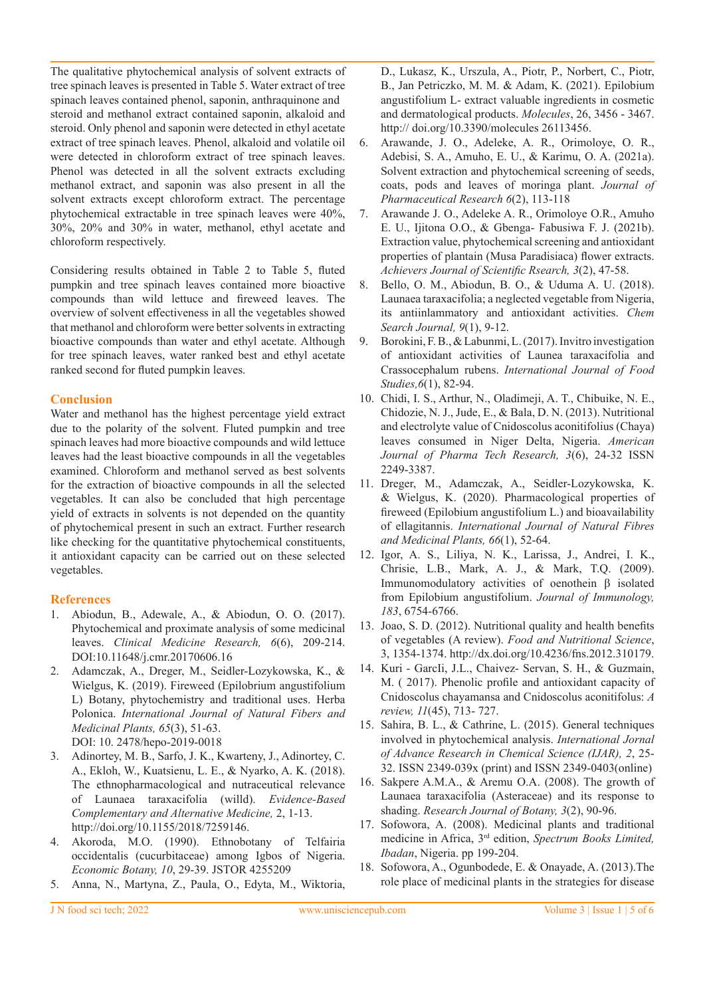The qualitative phytochemical analysis of solvent extracts of tree spinach leaves is presented in Table 5. Water extract of tree spinach leaves contained phenol, saponin, anthraquinone and steroid and methanol extract contained saponin, alkaloid and steroid. Only phenol and saponin were detected in ethyl acetate extract of tree spinach leaves. Phenol, alkaloid and volatile oil were detected in chloroform extract of tree spinach leaves. Phenol was detected in all the solvent extracts excluding methanol extract, and saponin was also present in all the solvent extracts except chloroform extract. The percentage phytochemical extractable in tree spinach leaves were 40%, 30%, 20% and 30% in water, methanol, ethyl acetate and chloroform respectively.

Considering results obtained in Table 2 to Table 5, fluted pumpkin and tree spinach leaves contained more bioactive compounds than wild lettuce and fireweed leaves. The overview of solvent effectiveness in all the vegetables showed that methanol and chloroform were better solvents in extracting bioactive compounds than water and ethyl acetate. Although for tree spinach leaves, water ranked best and ethyl acetate ranked second for fluted pumpkin leaves.

# **Conclusion**

Water and methanol has the highest percentage yield extract due to the polarity of the solvent. Fluted pumpkin and tree spinach leaves had more bioactive compounds and wild lettuce leaves had the least bioactive compounds in all the vegetables examined. Chloroform and methanol served as best solvents for the extraction of bioactive compounds in all the selected vegetables. It can also be concluded that high percentage yield of extracts in solvents is not depended on the quantity of phytochemical present in such an extract. Further research like checking for the quantitative phytochemical constituents, it antioxidant capacity can be carried out on these selected vegetables.

# **References**

- 1. Abiodun, B., Adewale, A., & Abiodun, O. O. (2017). Phytochemical and proximate analysis of some medicinal leaves. *Clinical Medicine Research, 6*(6), 209-214. DOI:10.11648/j.cmr.20170606.16
- 2. Adamczak, A., Dreger, M., Seidler-Lozykowska, K., & Wielgus, K. (2019). Fireweed (Epilobrium angustifolium L) Botany, phytochemistry and traditional uses. Herba Polonica. *International Journal of Natural Fibers and Medicinal Plants, 65*(3), 51-63. DOI: 10. 2478/hepo-2019-0018
- 3. Adinortey, M. B., Sarfo, J. K., Kwarteny, J., Adinortey, C. A., Ekloh, W., Kuatsienu, L. E., & Nyarko, A. K. (2018). The ethnopharmacological and nutraceutical relevance of Launaea taraxacifolia (willd). *Evidence-Based Complementary and Alternative Medicine,* 2, 1-13. http://doi.org/10.1155/2018/7259146.
- 4. Akoroda, M.O. (1990). Ethnobotany of Telfairia occidentalis (cucurbitaceae) among Igbos of Nigeria. *Economic Botany, 10*, 29-39. JSTOR 4255209
- 5. Anna, N., Martyna, Z., Paula, O., Edyta, M., Wiktoria,

D., Lukasz, K., Urszula, A., Piotr, P., Norbert, C., Piotr, B., Jan Petriczko, M. M. & Adam, K. (2021). Epilobium angustifolium L- extract valuable ingredients in cosmetic and dermatological products. *Molecules*, 26, 3456 - 3467. http:// doi.org/10.3390/molecules 26113456.

- 6. Arawande, J. O., Adeleke, A. R., Orimoloye, O. R., Adebisi, S. A., Amuho, E. U., & Karimu, O. A. (2021a). Solvent extraction and phytochemical screening of seeds, coats, pods and leaves of moringa plant. *Journal of Pharmaceutical Research 6*(2), 113-118
- 7. Arawande J. O., Adeleke A. R., Orimoloye O.R., Amuho E. U., Ijitona O.O., & Gbenga- Fabusiwa F. J. (2021b). Extraction value, phytochemical screening and antioxidant properties of plantain (Musa Paradisiaca) flower extracts. *Achievers Journal of Scientific Rsearch, 3*(2), 47-58.
- 8. Bello, O. M., Abiodun, B. O., & Uduma A. U. (2018). Launaea taraxacifolia; a neglected vegetable from Nigeria, its antiinlammatory and antioxidant activities. *Chem Search Journal, 9*(1), 9-12.
- 9. Borokini, F. B., & Labunmi, L. (2017). Invitro investigation of antioxidant activities of Launea taraxacifolia and Crassocephalum rubens. *International Journal of Food Studies,6*(1), 82-94.
- 10. Chidi, I. S., Arthur, N., Oladimeji, A. T., Chibuike, N. E., Chidozie, N. J., Jude, E., & Bala, D. N. (2013). Nutritional and electrolyte value of Cnidoscolus aconitifolius (Chaya) leaves consumed in Niger Delta, Nigeria. *American Journal of Pharma Tech Research, 3*(6), 24-32 ISSN 2249-3387.
- 11. Dreger, M., Adamczak, A., Seidler-Lozykowska, K. & Wielgus, K. (2020). Pharmacological properties of fireweed (Epilobium angustifolium L.) and bioavailability of ellagitannis. *International Journal of Natural Fibres and Medicinal Plants, 66*(1), 52-64.
- 12. Igor, A. S., Liliya, N. K., Larissa, J., Andrei, I. K., Chrisie, L.B., Mark, A. J., & Mark, T.Q. (2009). Immunomodulatory activities of oenothein β isolated from Epilobium angustifolium. *Journal of Immunology, 183*, 6754-6766.
- 13. Joao, S. D. (2012). Nutritional quality and health benefits of vegetables (A review). *Food and Nutritional Science*, 3, 1354-1374. http://dx.doi.org/10.4236/fns.2012.310179.
- 14. Kuri GarcIi, J.L., Chaivez- Servan, S. H., & Guzmain, M. ( 2017). Phenolic profile and antioxidant capacity of Cnidoscolus chayamansa and Cnidoscolus aconitifolus: *A review, 11*(45), 713- 727.
- 15. Sahira, B. L., & Cathrine, L. (2015). General techniques involved in phytochemical analysis. *International Jornal of Advance Research in Chemical Science (IJAR), 2*, 25- 32. ISSN 2349-039x (print) and ISSN 2349-0403(online)
- 16. Sakpere A.M.A., & Aremu O.A. (2008). The growth of Launaea taraxacifolia (Asteraceae) and its response to shading. *Research Journal of Botany, 3*(2), 90-96.
- 17. Sofowora, A. (2008). Medicinal plants and traditional medicine in Africa, 3rd edition, *Spectrum Books Limited, Ibadan*, Nigeria. pp 199-204.
- 18. Sofowora, A., Ogunbodede, E. & Onayade, A. (2013).The role place of medicinal plants in the strategies for disease